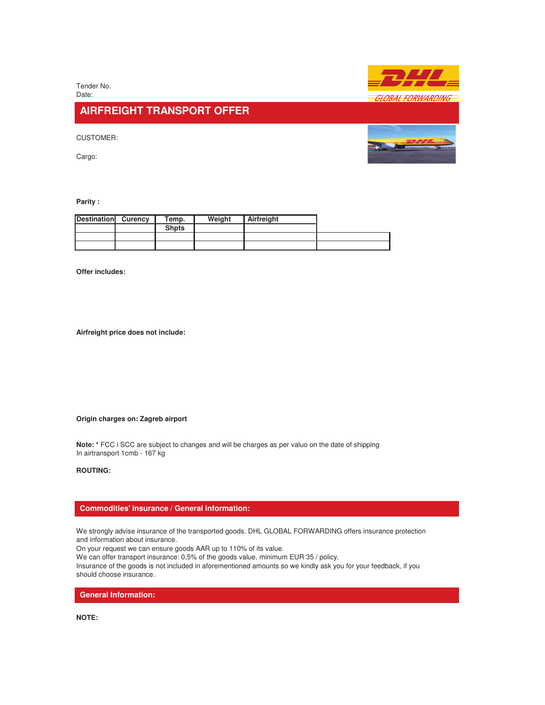Tender No. Date:

# **AIRFREIGHT TRANSPORT OFFER**

CUSTOMER:

Cargo:



**Parity :** 

| <b>Destination</b> | <b>Curency</b> | Temp.        | Weight | Airfreight |  |
|--------------------|----------------|--------------|--------|------------|--|
|                    |                | <b>Shpts</b> |        |            |  |
|                    |                |              |        |            |  |
|                    |                |              |        |            |  |

**Offer includes:**

**Airfreight price does not include:**

### **Origin charges on: Zagreb airport**

**Note: \*** FCC i SCC are subject to changes and will be charges as per valuo on the date of shipping In airtransport 1cmb - 167 kg

# **ROUTING:**

## **Commodities' insurance / General information:**

We strongly advise insurance of the transported goods. DHL GLOBAL FORWARDING offers insurance protection and information about insurance.

On your request we can ensure goods AAR up to 110% of its value.

We can offer transport insurance: 0,5% of the goods value, minimum EUR 35 / policy.

Insurance of the goods is not included in aforementioned amounts so we kindly ask you for your feedback, if you should choose insurance.

**General Information:**

**NOTE:**